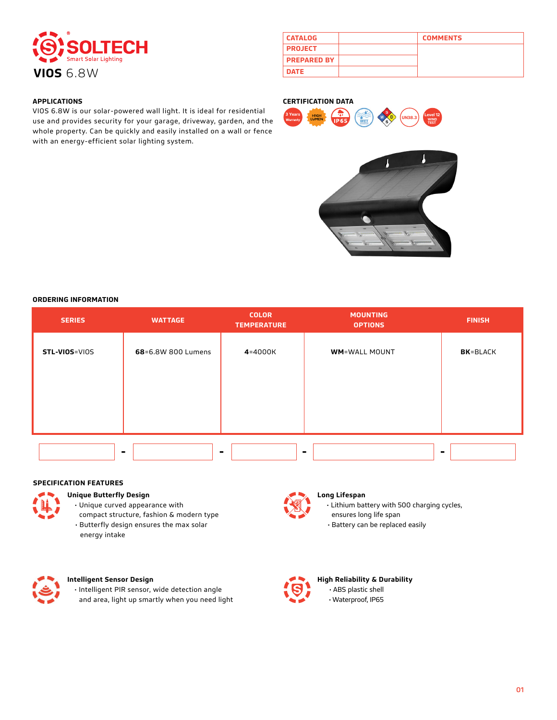

| <b>CATALOG</b>     | <b>COMMENTS</b> |
|--------------------|-----------------|
| <b>PROJECT</b>     |                 |
| <b>PREPARED BY</b> |                 |
| <b>DATE</b>        |                 |

### **APPLICATIONS**

VIOS 6.8W is our solar-powered wall light. It is ideal for residential use and provides security for your garage, driveway, garden, and the whole property. Can be quickly and easily installed on a wall or fence with an energy-efficient solar lighting system.

#### **CERTIFICATION DATA**





#### **ORDERING INFORMATION**

| <b>SERIES</b> | <b>WATTAGE</b>     | <b>COLOR</b><br><b>TEMPERATURE</b> | <b>MOUNTING</b><br><b>OPTIONS</b> | <b>FINISH</b>    |
|---------------|--------------------|------------------------------------|-----------------------------------|------------------|
| STL-VIOS=VIOS | 68=6.8W 800 Lumens | 4=4000K                            | <b>WM=WALL MOUNT</b>              | <b>BK</b> =BLACK |
|               |                    |                                    |                                   |                  |
|               |                    |                                    |                                   |                  |
|               |                    |                                    |                                   |                  |
|               |                    |                                    |                                   |                  |

### **SPECIFICATION FEATURES**



# **Unique Butterfly Design**

- Unique curved appearance with
- compact structure, fashion & modern type • Butterfly design ensures the max solar energy intake



# **Long Lifespan**

- Lithium battery with 500 charging cycles,
- ensures long life span
- Battery can be replaced easily



# **Intelligent Sensor Design**

• Intelligent PIR sensor, wide detection angle and area, light up smartly when you need light



# **High Reliability & Durability** • ABS plastic shell • Waterproof, IP65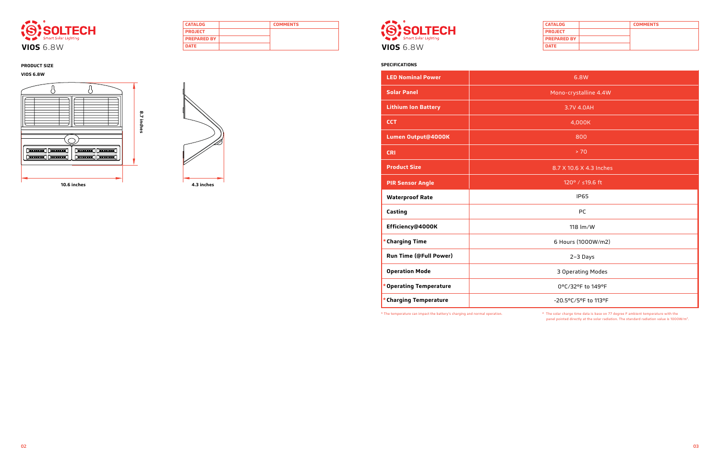





| <b>CATALOG</b>     | <b>COMMENTS</b> |
|--------------------|-----------------|
| <b>PROJECT</b>     |                 |
| <b>PREPARED BY</b> |                 |
| <b>DATE</b>        |                 |



| 6.8W                    |  |
|-------------------------|--|
| Mono-crystalline 4.4W   |  |
| 3.7V 4.0AH              |  |
| 4,000K                  |  |
| 800                     |  |
| > 70                    |  |
| 8.7 X 10.6 X 4.3 Inches |  |
| 120° / ≤19.6 ft         |  |
|                         |  |
| <b>IP65</b>             |  |
| PC                      |  |
| 118 lm/W                |  |
| 6 Hours (1000W/m2)      |  |
| 2-3 Days                |  |
| 3 Operating Modes       |  |
| 0°C/32°F to 149°F       |  |

| <b>LED Nominal Power</b>      |  |
|-------------------------------|--|
| <b>Solar Panel</b>            |  |
| <b>Lithium Ion Battery</b>    |  |
| <b>CCT</b>                    |  |
| Lumen Output@4000K            |  |
| <b>CRI</b>                    |  |
| <b>Product Size</b>           |  |
| <b>PIR Sensor Angle</b>       |  |
|                               |  |
| <b>Waterproof Rate</b>        |  |
| Casting                       |  |
| Efficiency@4000K              |  |
| * Charging Time               |  |
| <b>Run Time (@Full Power)</b> |  |
| <b>Operation Mode</b>         |  |
| * Operating Temperature       |  |

\* The temperature can impact the battery's charging and normal operation. \* The solar charge time data is base on 77 degree F ambient temperature with the panel pointed directly at the solar radiation. The standard radiation value is 1000W/m2.

# **VIOS 6.8W**

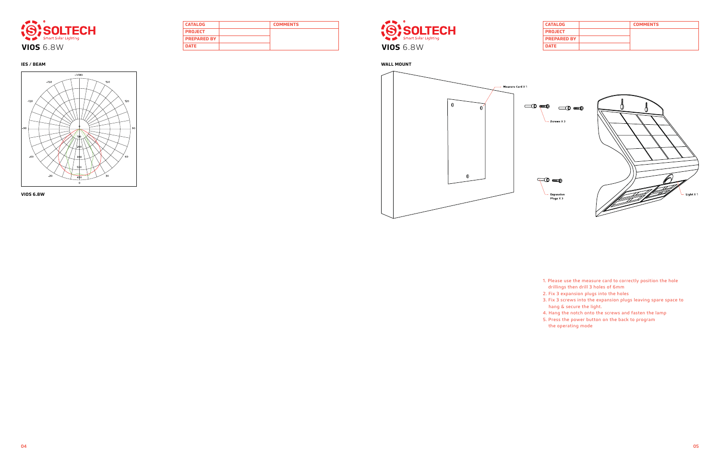| <b>CATALOG</b>     | <b>COMMENTS</b> |
|--------------------|-----------------|
| <b>PROJECT</b>     |                 |
| <b>PREPARED BY</b> |                 |
| <b>DATE</b>        |                 |





| <b>CATALOG</b>     | <b>COMMENTS</b> |
|--------------------|-----------------|
| <b>PROJECT</b>     |                 |
| <b>PREPARED BY</b> |                 |
| <b>DATE</b>        |                 |



**IES / BEAM WALL MOUNT**



**VIOS 6.8W**

- 1. Please use the measure card to correctly position the hole drillings then drill 3 holes of 6mm
- 2. Fix 3 expansion plugs into the holes
- 3. Fix 3 screws into the expansion plugs leaving spare space to hang & secure the light.
- 4. Hang the notch onto the screws and fasten the lamp
- 5. Press the power button on the back to program the operating mode